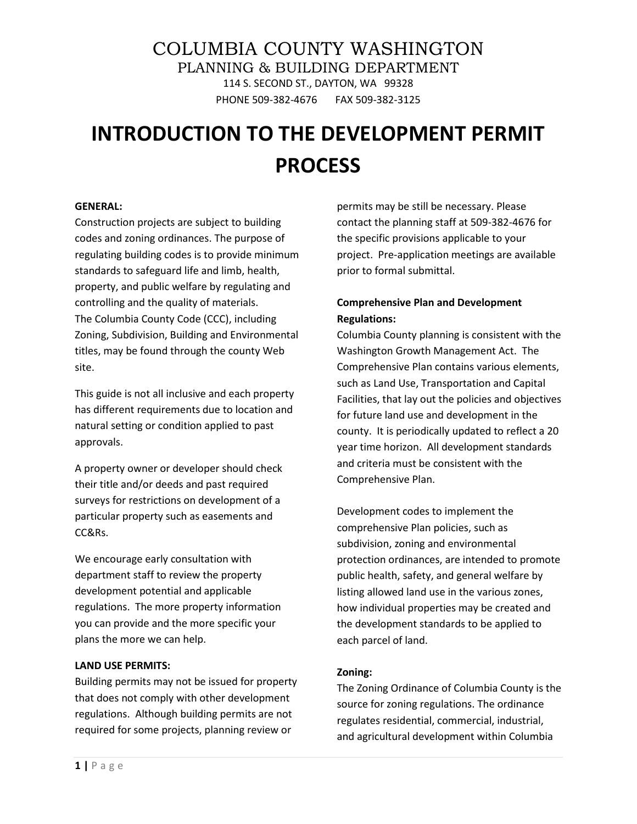# COLUMBIA COUNTY WASHINGTON PLANNING & BUILDING DEPARTMENT 114 S. SECOND ST., DAYTON, WA 99328 PHONE 509-382-4676 FAX 509-382-3125

# **INTRODUCTION TO THE DEVELOPMENT PERMIT PROCESS**

#### **GENERAL:**

Construction projects are subject to building codes and zoning ordinances. The purpose of regulating building codes is to provide minimum standards to safeguard life and limb, health, property, and public welfare by regulating and controlling and the quality of materials. The Columbia County Code (CCC), including Zoning, Subdivision, Building and Environmental titles, may be found through the county Web site.

This guide is not all inclusive and each property has different requirements due to location and natural setting or condition applied to past approvals.

A property owner or developer should check their title and/or deeds and past required surveys for restrictions on development of a particular property such as easements and CC&Rs.

We encourage early consultation with department staff to review the property development potential and applicable regulations. The more property information you can provide and the more specific your plans the more we can help.

#### **LAND USE PERMITS:**

Building permits may not be issued for property that does not comply with other development regulations. Although building permits are not required for some projects, planning review or

permits may be still be necessary. Please contact the planning staff at 509-382-4676 for the specific provisions applicable to your project. Pre-application meetings are available prior to formal submittal.

### **Comprehensive Plan and Development Regulations:**

Columbia County planning is consistent with the Washington Growth Management Act. The Comprehensive Plan contains various elements, such as Land Use, Transportation and Capital Facilities, that lay out the policies and objectives for future land use and development in the county. It is periodically updated to reflect a 20 year time horizon. All development standards and criteria must be consistent with the Comprehensive Plan.

Development codes to implement the comprehensive Plan policies, such as subdivision, zoning and environmental protection ordinances, are intended to promote public health, safety, and general welfare by listing allowed land use in the various zones, how individual properties may be created and the development standards to be applied to each parcel of land.

#### **Zoning:**

The Zoning Ordinance of Columbia County is the source for zoning regulations. The ordinance regulates residential, commercial, industrial, and agricultural development within Columbia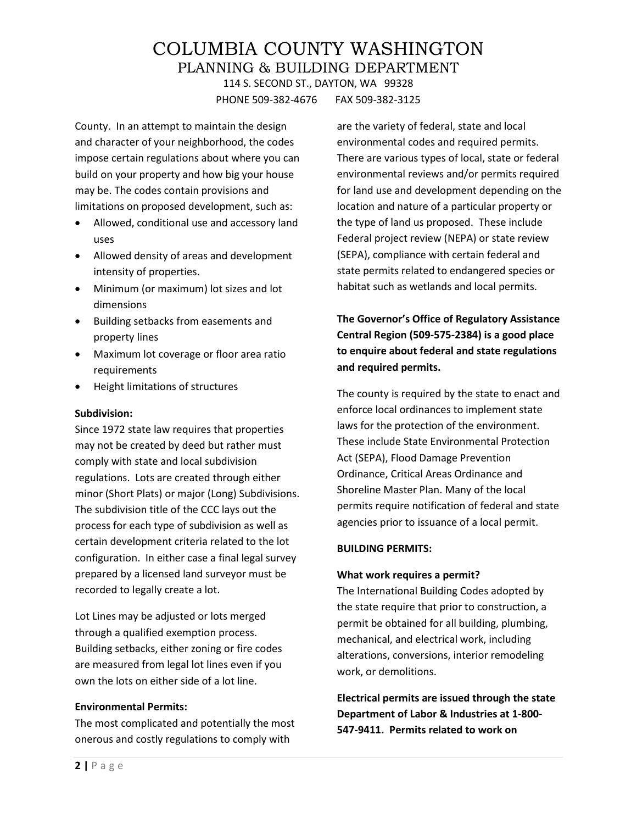### COLUMBIA COUNTY WASHINGTON PLANNING & BUILDING DEPARTMENT 114 S. SECOND ST., DAYTON, WA 99328 PHONE 509-382-4676 FAX 509-382-3125

County. In an attempt to maintain the design and character of your neighborhood, the codes impose certain regulations about where you can build on your property and how big your house may be. The codes contain provisions and limitations on proposed development, such as:

- Allowed, conditional use and accessory land uses
- Allowed density of areas and development intensity of properties.
- Minimum (or maximum) lot sizes and lot dimensions
- Building setbacks from easements and property lines
- Maximum lot coverage or floor area ratio requirements
- Height limitations of structures

#### **Subdivision:**

Since 1972 state law requires that properties may not be created by deed but rather must comply with state and local subdivision regulations. Lots are created through either minor (Short Plats) or major (Long) Subdivisions. The subdivision title of the CCC lays out the process for each type of subdivision as well as certain development criteria related to the lot configuration. In either case a final legal survey prepared by a licensed land surveyor must be recorded to legally create a lot.

Lot Lines may be adjusted or lots merged through a qualified exemption process. Building setbacks, either zoning or fire codes are measured from legal lot lines even if you own the lots on either side of a lot line.

#### **Environmental Permits:**

The most complicated and potentially the most onerous and costly regulations to comply with

are the variety of federal, state and local environmental codes and required permits. There are various types of local, state or federal environmental reviews and/or permits required for land use and development depending on the location and nature of a particular property or the type of land us proposed. These include Federal project review (NEPA) or state review (SEPA), compliance with certain federal and state permits related to endangered species or habitat such as wetlands and local permits.

### **The Governor's Office of Regulatory Assistance Central Region (509-575-2384) is a good place to enquire about federal and state regulations and required permits.**

The county is required by the state to enact and enforce local ordinances to implement state laws for the protection of the environment. These include State Environmental Protection Act (SEPA), Flood Damage Prevention Ordinance, Critical Areas Ordinance and Shoreline Master Plan. Many of the local permits require notification of federal and state agencies prior to issuance of a local permit.

#### **BUILDING PERMITS:**

#### **What work requires a permit?**

The International Building Codes adopted by the state require that prior to construction, a permit be obtained for all building, plumbing, mechanical, and electrical work, including alterations, conversions, interior remodeling work, or demolitions.

**Electrical permits are issued through the state Department of Labor & Industries at 1-800- 547-9411. Permits related to work on**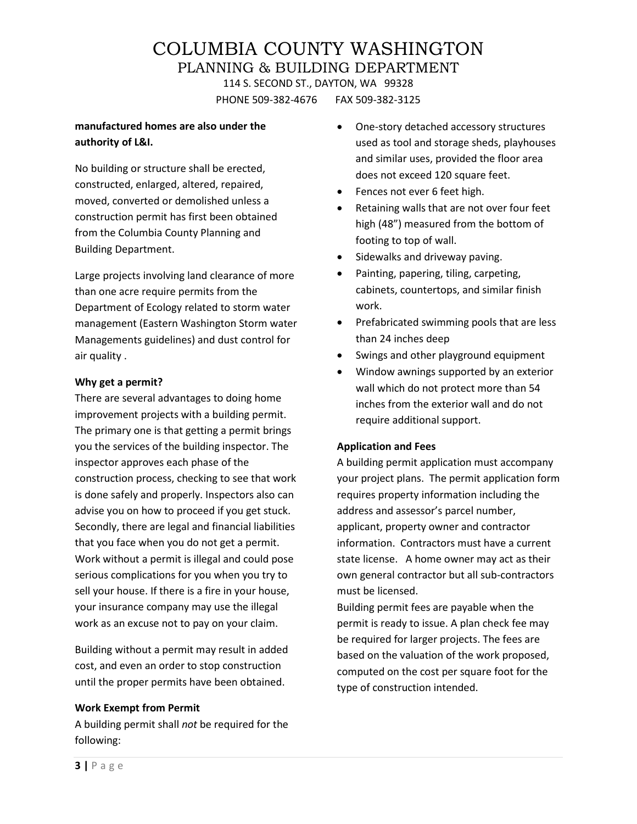PHONE 509-382-4676 FAX 509-382-3125

#### **manufactured homes are also under the authority of L&I.**

No building or structure shall be erected, constructed, enlarged, altered, repaired, moved, converted or demolished unless a construction permit has first been obtained from the Columbia County Planning and Building Department.

Large projects involving land clearance of more than one acre require permits from the Department of Ecology related to storm water management (Eastern Washington Storm water Managements guidelines) and dust control for air quality .

#### **Why get a permit?**

There are several advantages to doing home improvement projects with a building permit. The primary one is that getting a permit brings you the services of the building inspector. The inspector approves each phase of the construction process, checking to see that work is done safely and properly. Inspectors also can advise you on how to proceed if you get stuck. Secondly, there are legal and financial liabilities that you face when you do not get a permit. Work without a permit is illegal and could pose serious complications for you when you try to sell your house. If there is a fire in your house, your insurance company may use the illegal work as an excuse not to pay on your claim.

Building without a permit may result in added cost, and even an order to stop construction until the proper permits have been obtained.

#### **Work Exempt from Permit**

A building permit shall *not* be required for the following:

- One-story detached accessory structures used as tool and storage sheds, playhouses and similar uses, provided the floor area does not exceed 120 square feet.
- Fences not ever 6 feet high.
- Retaining walls that are not over four feet high (48") measured from the bottom of footing to top of wall.
- Sidewalks and driveway paving.
- Painting, papering, tiling, carpeting, cabinets, countertops, and similar finish work.
- Prefabricated swimming pools that are less than 24 inches deep
- Swings and other playground equipment
- Window awnings supported by an exterior wall which do not protect more than 54 inches from the exterior wall and do not require additional support.

#### **Application and Fees**

A building permit application must accompany your project plans. The permit application form requires property information including the address and assessor's parcel number, applicant, property owner and contractor information. Contractors must have a current state license. A home owner may act as their own general contractor but all sub-contractors must be licensed.

Building permit fees are payable when the permit is ready to issue. A plan check fee may be required for larger projects. The fees are based on the valuation of the work proposed, computed on the cost per square foot for the type of construction intended.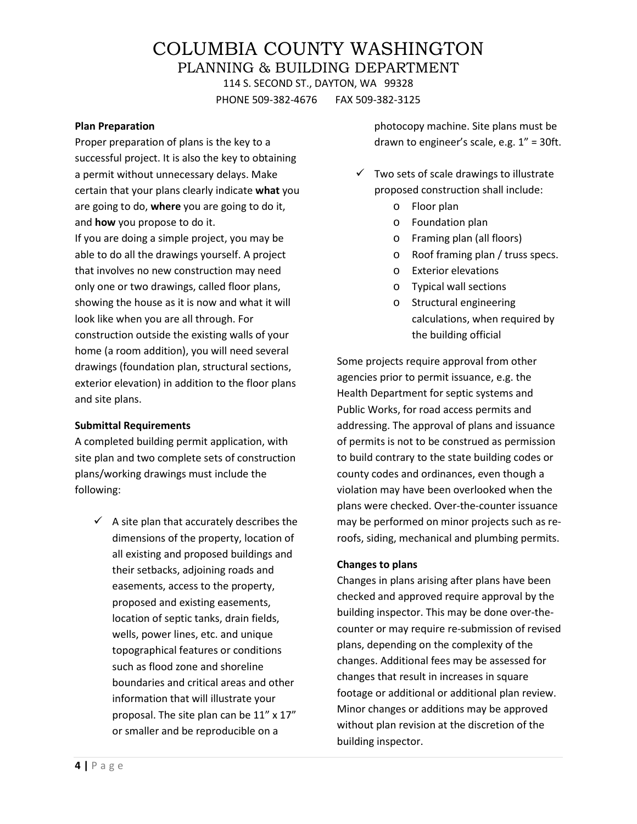PHONE 509-382-4676 FAX 509-382-3125

#### **Plan Preparation**

Proper preparation of plans is the key to a successful project. It is also the key to obtaining a permit without unnecessary delays. Make certain that your plans clearly indicate **what** you are going to do, **where** you are going to do it, and **how** you propose to do it.

If you are doing a simple project, you may be able to do all the drawings yourself. A project that involves no new construction may need only one or two drawings, called floor plans, showing the house as it is now and what it will look like when you are all through. For construction outside the existing walls of your home (a room addition), you will need several drawings (foundation plan, structural sections, exterior elevation) in addition to the floor plans and site plans.

#### **Submittal Requirements**

A completed building permit application, with site plan and two complete sets of construction plans/working drawings must include the following:

 $\checkmark$  A site plan that accurately describes the dimensions of the property, location of all existing and proposed buildings and their setbacks, adjoining roads and easements, access to the property, proposed and existing easements, location of septic tanks, drain fields, wells, power lines, etc. and unique topographical features or conditions such as flood zone and shoreline boundaries and critical areas and other information that will illustrate your proposal. The site plan can be 11" x 17" or smaller and be reproducible on a

photocopy machine. Site plans must be drawn to engineer's scale, e.g. 1" = 30ft.

- $\checkmark$  Two sets of scale drawings to illustrate proposed construction shall include:
	- o Floor plan
	- o Foundation plan
	- o Framing plan (all floors)
	- o Roof framing plan / truss specs.
	- o Exterior elevations
	- o Typical wall sections
	- o Structural engineering calculations, when required by the building official

Some projects require approval from other agencies prior to permit issuance, e.g. the Health Department for septic systems and Public Works, for road access permits and addressing. The approval of plans and issuance of permits is not to be construed as permission to build contrary to the state building codes or county codes and ordinances, even though a violation may have been overlooked when the plans were checked. Over-the-counter issuance may be performed on minor projects such as reroofs, siding, mechanical and plumbing permits.

#### **Changes to plans**

Changes in plans arising after plans have been checked and approved require approval by the building inspector. This may be done over-thecounter or may require re-submission of revised plans, depending on the complexity of the changes. Additional fees may be assessed for changes that result in increases in square footage or additional or additional plan review. Minor changes or additions may be approved without plan revision at the discretion of the building inspector.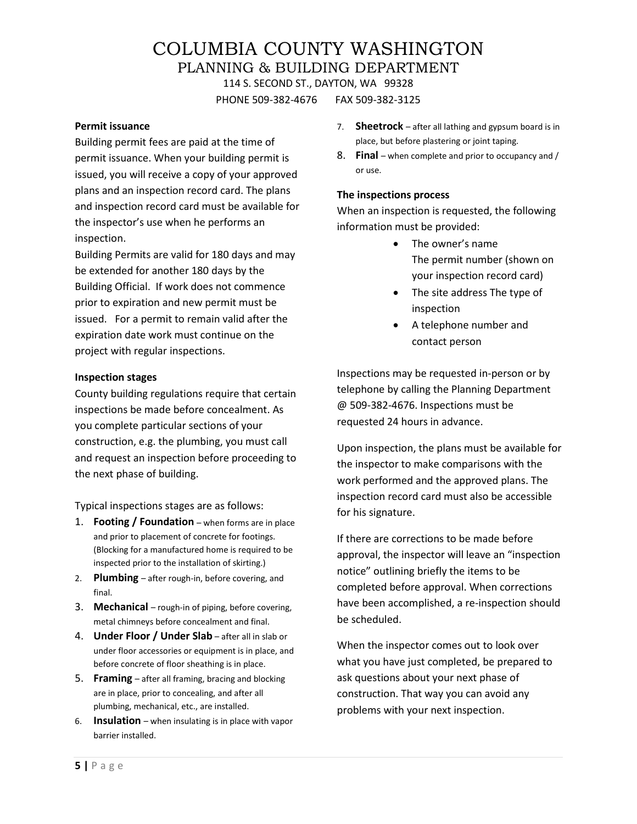PHONE 509-382-4676 FAX 509-382-3125

#### **Permit issuance**

Building permit fees are paid at the time of permit issuance. When your building permit is issued, you will receive a copy of your approved plans and an inspection record card. The plans and inspection record card must be available for the inspector's use when he performs an inspection.

Building Permits are valid for 180 days and may be extended for another 180 days by the Building Official. If work does not commence prior to expiration and new permit must be issued. For a permit to remain valid after the expiration date work must continue on the project with regular inspections.

#### **Inspection stages**

County building regulations require that certain inspections be made before concealment. As you complete particular sections of your construction, e.g. the plumbing, you must call and request an inspection before proceeding to the next phase of building.

Typical inspections stages are as follows:

- 1. **Footing / Foundation** when forms are in place and prior to placement of concrete for footings. (Blocking for a manufactured home is required to be inspected prior to the installation of skirting.)
- 2. **Plumbing** after rough-in, before covering, and final.
- 3. **Mechanical** rough-in of piping, before covering, metal chimneys before concealment and final.
- 4. **Under Floor / Under Slab** after all in slab or under floor accessories or equipment is in place, and before concrete of floor sheathing is in place.
- 5. **Framing**  after all framing, bracing and blocking are in place, prior to concealing, and after all plumbing, mechanical, etc., are installed.
- 6. **Insulation** when insulating is in place with vapor barrier installed.
- 7. **Sheetrock** after all lathing and gypsum board is in place, but before plastering or joint taping.
- 8. **Final** when complete and prior to occupancy and / or use.

#### **The inspections process**

When an inspection is requested, the following information must be provided:

- The owner's name The permit number (shown on your inspection record card)
- The site address The type of inspection
- A telephone number and contact person

Inspections may be requested in-person or by telephone by calling the Planning Department @ 509-382-4676. Inspections must be requested 24 hours in advance.

Upon inspection, the plans must be available for the inspector to make comparisons with the work performed and the approved plans. The inspection record card must also be accessible for his signature.

If there are corrections to be made before approval, the inspector will leave an "inspection notice" outlining briefly the items to be completed before approval. When corrections have been accomplished, a re-inspection should be scheduled.

When the inspector comes out to look over what you have just completed, be prepared to ask questions about your next phase of construction. That way you can avoid any problems with your next inspection.